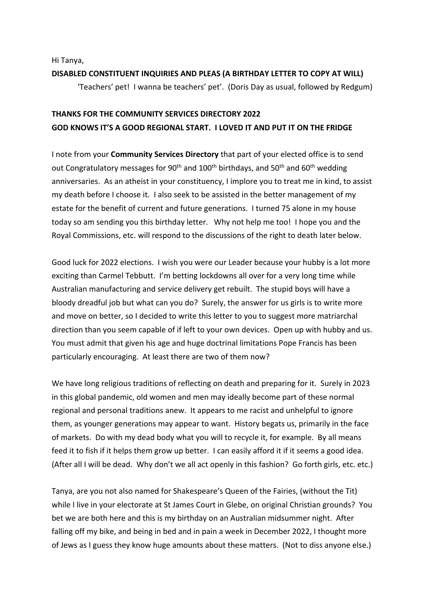Hi Tanya,

# **DISABLED CONSTITUENT INQUIRIES AND PLEAS (A BIRTHDAY LETTER TO COPY AT WILL)** 'Teachers' pet! I wanna be teachers' pet'. (Doris Day as usual, followed by Redgum)

## **THANKS FOR THE COMMUNITY SERVICES DIRECTORY 2022 GOD KNOWS IT'S A GOOD REGIONAL START. I LOVED IT AND PUT IT ON THE FRIDGE**

I note from your **Community Services Directory** that part of your elected office is to send out Congratulatory messages for 90<sup>th</sup> and 100<sup>th</sup> birthdays, and 50<sup>th</sup> and 60<sup>th</sup> wedding anniversaries. As an atheist in your constituency, I implore you to treat me in kind, to assist my death before I choose it. I also seek to be assisted in the better management of my estate for the benefit of current and future generations. I turned 75 alone in my house today so am sending you this birthday letter. Why not help me too! I hope you and the Royal Commissions, etc. will respond to the discussions of the right to death later below.

Good luck for 2022 elections. I wish you were our Leader because your hubby is a lot more exciting than Carmel Tebbutt. I'm betting lockdowns all over for a very long time while Australian manufacturing and service delivery get rebuilt. The stupid boys will have a bloody dreadful job but what can you do? Surely, the answer for us girls is to write more and move on better, so I decided to write this letter to you to suggest more matriarchal direction than you seem capable of if left to your own devices. Open up with hubby and us. You must admit that given his age and huge doctrinal limitations Pope Francis has been particularly encouraging. At least there are two of them now?

We have long religious traditions of reflecting on death and preparing for it. Surely in 2023 in this global pandemic, old women and men may ideally become part of these normal regional and personal traditions anew. It appears to me racist and unhelpful to ignore them, as younger generations may appear to want. History begats us, primarily in the face of markets. Do with my dead body what you will to recycle it, for example. By all means feed it to fish if it helps them grow up better. I can easily afford it if it seems a good idea. (After all I will be dead. Why don't we all act openly in this fashion? Go forth girls, etc. etc.)

Tanya, are you not also named for Shakespeare's Queen of the Fairies, (without the Tit) while I live in your electorate at St James Court in Glebe, on original Christian grounds? You bet we are both here and this is my birthday on an Australian midsummer night. After falling off my bike, and being in bed and in pain a week in December 2022, I thought more of Jews as I guess they know huge amounts about these matters. (Not to diss anyone else.)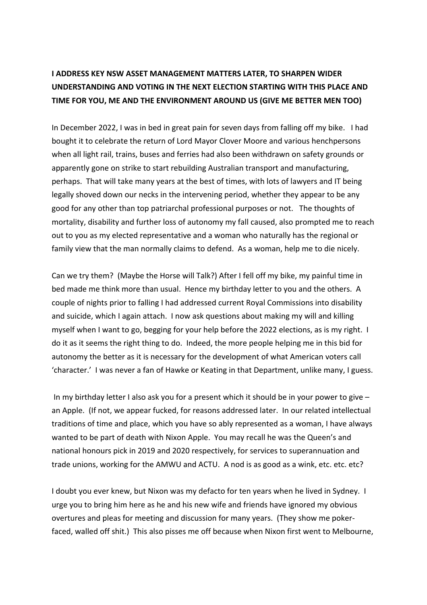# **I ADDRESS KEY NSW ASSET MANAGEMENT MATTERS LATER, TO SHARPEN WIDER UNDERSTANDING AND VOTING IN THE NEXT ELECTION STARTING WITH THIS PLACE AND TIME FOR YOU, ME AND THE ENVIRONMENT AROUND US (GIVE ME BETTER MEN TOO)**

In December 2022, I was in bed in great pain for seven days from falling off my bike. I had bought it to celebrate the return of Lord Mayor Clover Moore and various henchpersons when all light rail, trains, buses and ferries had also been withdrawn on safety grounds or apparently gone on strike to start rebuilding Australian transport and manufacturing, perhaps. That will take many years at the best of times, with lots of lawyers and IT being legally shoved down our necks in the intervening period, whether they appear to be any good for any other than top patriarchal professional purposes or not. The thoughts of mortality, disability and further loss of autonomy my fall caused, also prompted me to reach out to you as my elected representative and a woman who naturally has the regional or family view that the man normally claims to defend. As a woman, help me to die nicely.

Can we try them? (Maybe the Horse will Talk?) After I fell off my bike, my painful time in bed made me think more than usual. Hence my birthday letter to you and the others. A couple of nights prior to falling I had addressed current Royal Commissions into disability and suicide, which I again attach. I now ask questions about making my will and killing myself when I want to go, begging for your help before the 2022 elections, as is my right. I do it as it seems the right thing to do. Indeed, the more people helping me in this bid for autonomy the better as it is necessary for the development of what American voters call 'character.' I was never a fan of Hawke or Keating in that Department, unlike many, I guess.

In my birthday letter I also ask you for a present which it should be in your power to give  $$ an Apple. (If not, we appear fucked, for reasons addressed later. In our related intellectual traditions of time and place, which you have so ably represented as a woman, I have always wanted to be part of death with Nixon Apple. You may recall he was the Queen's and national honours pick in 2019 and 2020 respectively, for services to superannuation and trade unions, working for the AMWU and ACTU. A nod is as good as a wink, etc. etc. etc?

I doubt you ever knew, but Nixon was my defacto for ten years when he lived in Sydney. I urge you to bring him here as he and his new wife and friends have ignored my obvious overtures and pleas for meeting and discussion for many years. (They show me pokerfaced, walled off shit.) This also pisses me off because when Nixon first went to Melbourne,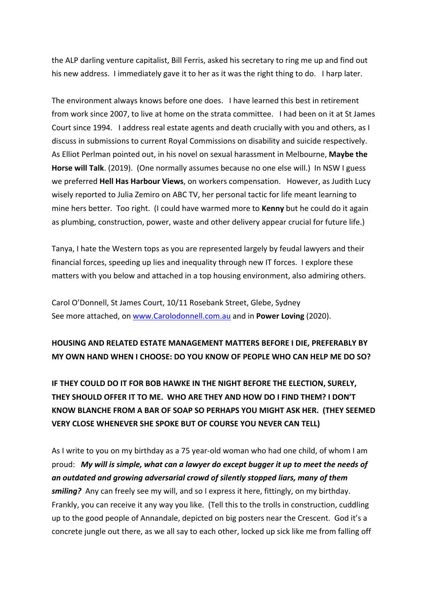the ALP darling venture capitalist, Bill Ferris, asked his secretary to ring me up and find out his new address. I immediately gave it to her as it was the right thing to do. I harp later.

The environment always knows before one does. I have learned this best in retirement from work since 2007, to live at home on the strata committee. I had been on it at St James Court since 1994. I address real estate agents and death crucially with you and others, as I discuss in submissions to current Royal Commissions on disability and suicide respectively. As Elliot Perlman pointed out, in his novel on sexual harassment in Melbourne, **Maybe the Horse will Talk**. (2019). (One normally assumes because no one else will.) In NSW I guess we preferred **Hell Has Harbour Views**, on workers compensation. However, as Judith Lucy wisely reported to Julia Zemiro on ABC TV, her personal tactic for life meant learning to mine hers better. Too right. (I could have warmed more to **Kenny** but he could do it again as plumbing, construction, power, waste and other delivery appear crucial for future life.)

Tanya, I hate the Western tops as you are represented largely by feudal lawyers and their financial forces, speeding up lies and inequality through new IT forces. I explore these matters with you below and attached in a top housing environment, also admiring others.

Carol O'Donnell, St James Court, 10/11 Rosebank Street, Glebe, Sydney See more attached, on www.Carolodonnell.com.au and in **Power Loving** (2020).

### **HOUSING AND RELATED ESTATE MANAGEMENT MATTERS BEFORE I DIE, PREFERABLY BY MY OWN HAND WHEN I CHOOSE: DO YOU KNOW OF PEOPLE WHO CAN HELP ME DO SO?**

**IF THEY COULD DO IT FOR BOB HAWKE IN THE NIGHT BEFORE THE ELECTION, SURELY, THEY SHOULD OFFER IT TO ME. WHO ARE THEY AND HOW DO I FIND THEM? I DON'T KNOW BLANCHE FROM A BAR OF SOAP SO PERHAPS YOU MIGHT ASK HER. (THEY SEEMED VERY CLOSE WHENEVER SHE SPOKE BUT OF COURSE YOU NEVER CAN TELL)**

As I write to you on my birthday as a 75 year-old woman who had one child, of whom I am proud: *My will is simple, what can a lawyer do except bugger it up to meet the needs of an outdated and growing adversarial crowd of silently stopped liars, many of them smiling?* Any can freely see my will, and so I express it here, fittingly, on my birthday. Frankly, you can receive it any way you like. (Tell this to the trolls in construction, cuddling up to the good people of Annandale, depicted on big posters near the Crescent. God it's a concrete jungle out there, as we all say to each other, locked up sick like me from falling off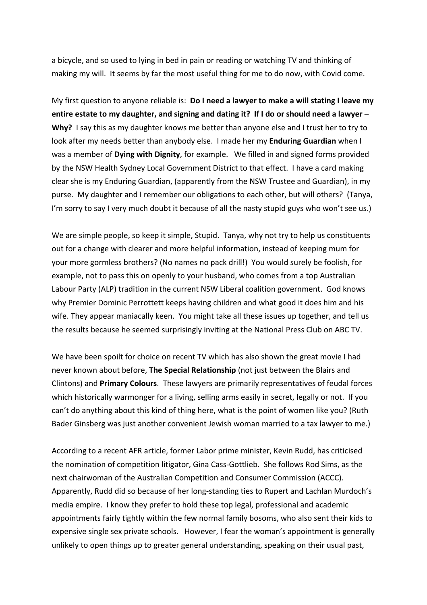a bicycle, and so used to lying in bed in pain or reading or watching TV and thinking of making my will. It seems by far the most useful thing for me to do now, with Covid come.

My first question to anyone reliable is: **Do I need a lawyer to make a will stating I leave my entire estate to my daughter, and signing and dating it? If I do or should need a lawyer – Why?** I say this as my daughter knows me better than anyone else and I trust her to try to look after my needs better than anybody else. I made her my **Enduring Guardian** when I was a member of **Dying with Dignity**, for example. We filled in and signed forms provided by the NSW Health Sydney Local Government District to that effect. I have a card making clear she is my Enduring Guardian, (apparently from the NSW Trustee and Guardian), in my purse. My daughter and I remember our obligations to each other, but will others? (Tanya, I'm sorry to say I very much doubt it because of all the nasty stupid guys who won't see us.)

We are simple people, so keep it simple, Stupid. Tanya, why not try to help us constituents out for a change with clearer and more helpful information, instead of keeping mum for your more gormless brothers? (No names no pack drill!) You would surely be foolish, for example, not to pass this on openly to your husband, who comes from a top Australian Labour Party (ALP) tradition in the current NSW Liberal coalition government. God knows why Premier Dominic Perrottett keeps having children and what good it does him and his wife. They appear maniacally keen. You might take all these issues up together, and tell us the results because he seemed surprisingly inviting at the National Press Club on ABC TV.

We have been spoilt for choice on recent TV which has also shown the great movie I had never known about before, **The Special Relationship** (not just between the Blairs and Clintons) and **Primary Colours**. These lawyers are primarily representatives of feudal forces which historically warmonger for a living, selling arms easily in secret, legally or not. If you can't do anything about this kind of thing here, what is the point of women like you? (Ruth Bader Ginsberg was just another convenient Jewish woman married to a tax lawyer to me.)

According to a recent AFR article, former Labor prime minister, Kevin Rudd, has criticised the nomination of competition litigator, Gina Cass-Gottlieb. She follows Rod Sims, as the next chairwoman of the Australian Competition and Consumer Commission (ACCC). Apparently, Rudd did so because of her long-standing ties to Rupert and Lachlan Murdoch's media empire. I know they prefer to hold these top legal, professional and academic appointments fairly tightly within the few normal family bosoms, who also sent their kids to expensive single sex private schools. However, I fear the woman's appointment is generally unlikely to open things up to greater general understanding, speaking on their usual past,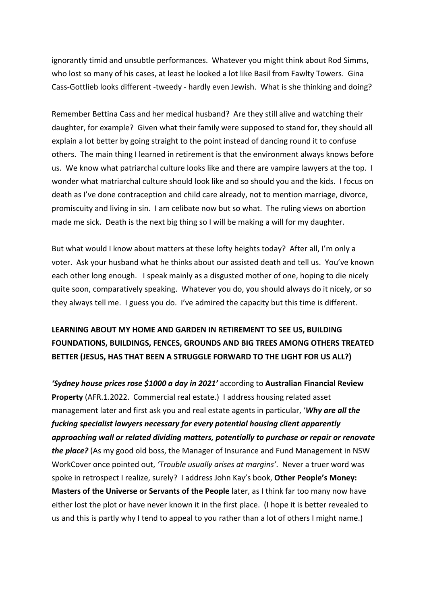ignorantly timid and unsubtle performances. Whatever you might think about Rod Simms, who lost so many of his cases, at least he looked a lot like Basil from Fawlty Towers. Gina Cass-Gottlieb looks different -tweedy - hardly even Jewish. What is she thinking and doing?

Remember Bettina Cass and her medical husband? Are they still alive and watching their daughter, for example? Given what their family were supposed to stand for, they should all explain a lot better by going straight to the point instead of dancing round it to confuse others. The main thing I learned in retirement is that the environment always knows before us. We know what patriarchal culture looks like and there are vampire lawyers at the top. I wonder what matriarchal culture should look like and so should you and the kids. I focus on death as I've done contraception and child care already, not to mention marriage, divorce, promiscuity and living in sin. I am celibate now but so what. The ruling views on abortion made me sick. Death is the next big thing so I will be making a will for my daughter.

But what would I know about matters at these lofty heights today? After all, I'm only a voter. Ask your husband what he thinks about our assisted death and tell us. You've known each other long enough. I speak mainly as a disgusted mother of one, hoping to die nicely quite soon, comparatively speaking. Whatever you do, you should always do it nicely, or so they always tell me. I guess you do. I've admired the capacity but this time is different.

## **LEARNING ABOUT MY HOME AND GARDEN IN RETIREMENT TO SEE US, BUILDING FOUNDATIONS, BUILDINGS, FENCES, GROUNDS AND BIG TREES AMONG OTHERS TREATED BETTER (JESUS, HAS THAT BEEN A STRUGGLE FORWARD TO THE LIGHT FOR US ALL?)**

*'Sydney house prices rose \$1000 a day in 2021'* according to **Australian Financial Review Property** (AFR.1.2022. Commercial real estate.) I address housing related asset management later and first ask you and real estate agents in particular, '*Why are all the fucking specialist lawyers necessary for every potential housing client apparently approaching wall or related dividing matters, potentially to purchase or repair or renovate the place?* (As my good old boss, the Manager of Insurance and Fund Management in NSW WorkCover once pointed out, *'Trouble usually arises at margins'*. Never a truer word was spoke in retrospect I realize, surely? I address John Kay's book, **Other People's Money: Masters of the Universe or Servants of the People** later, as I think far too many now have either lost the plot or have never known it in the first place. (I hope it is better revealed to us and this is partly why I tend to appeal to you rather than a lot of others I might name.)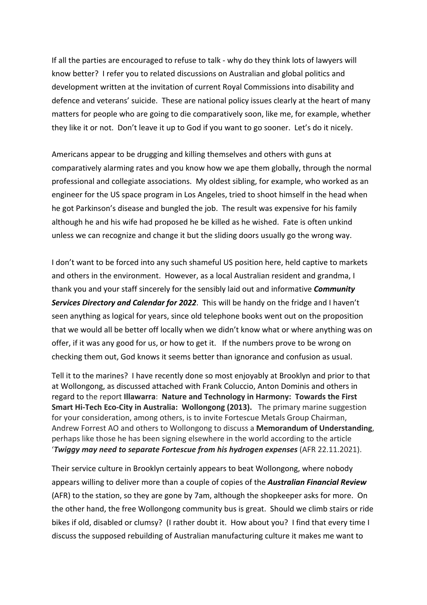If all the parties are encouraged to refuse to talk - why do they think lots of lawyers will know better? I refer you to related discussions on Australian and global politics and development written at the invitation of current Royal Commissions into disability and defence and veterans' suicide. These are national policy issues clearly at the heart of many matters for people who are going to die comparatively soon, like me, for example, whether they like it or not. Don't leave it up to God if you want to go sooner. Let's do it nicely.

Americans appear to be drugging and killing themselves and others with guns at comparatively alarming rates and you know how we ape them globally, through the normal professional and collegiate associations. My oldest sibling, for example, who worked as an engineer for the US space program in Los Angeles, tried to shoot himself in the head when he got Parkinson's disease and bungled the job. The result was expensive for his family although he and his wife had proposed he be killed as he wished. Fate is often unkind unless we can recognize and change it but the sliding doors usually go the wrong way.

I don't want to be forced into any such shameful US position here, held captive to markets and others in the environment. However, as a local Australian resident and grandma, I thank you and your staff sincerely for the sensibly laid out and informative *Community Services Directory and Calendar for 2022*. This will be handy on the fridge and I haven't seen anything as logical for years, since old telephone books went out on the proposition that we would all be better off locally when we didn't know what or where anything was on offer, if it was any good for us, or how to get it. If the numbers prove to be wrong on checking them out, God knows it seems better than ignorance and confusion as usual.

Tell it to the marines? I have recently done so most enjoyably at Brooklyn and prior to that at Wollongong, as discussed attached with Frank Coluccio, Anton Dominis and others in regard to the report **Illawarra**: **Nature and Technology in Harmony: Towards the First Smart Hi-Tech Eco-City in Australia: Wollongong (2013).** The primary marine suggestion for your consideration, among others, is to invite Fortescue Metals Group Chairman, Andrew Forrest AO and others to Wollongong to discuss a **Memorandum of Understanding**, perhaps like those he has been signing elsewhere in the world according to the article '*Twiggy may need to separate Fortescue from his hydrogen expenses* (AFR 22.11.2021).

Their service culture in Brooklyn certainly appears to beat Wollongong, where nobody appears willing to deliver more than a couple of copies of the *Australian Financial Review*  (AFR) to the station, so they are gone by 7am, although the shopkeeper asks for more. On the other hand, the free Wollongong community bus is great. Should we climb stairs or ride bikes if old, disabled or clumsy? (I rather doubt it. How about you? I find that every time I discuss the supposed rebuilding of Australian manufacturing culture it makes me want to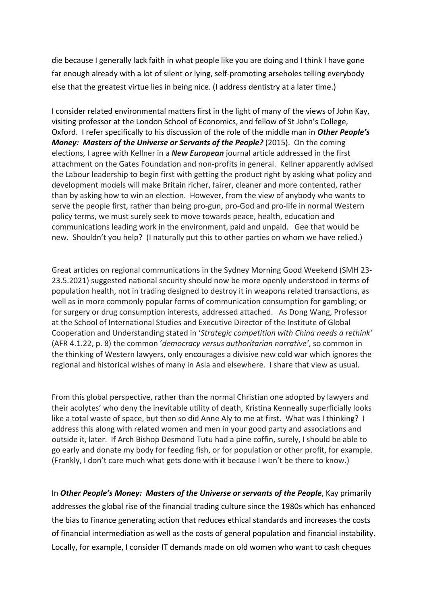die because I generally lack faith in what people like you are doing and I think I have gone far enough already with a lot of silent or lying, self-promoting arseholes telling everybody else that the greatest virtue lies in being nice. (I address dentistry at a later time.)

I consider related environmental matters first in the light of many of the views of John Kay, visiting professor at the London School of Economics, and fellow of St John's College, Oxford. I refer specifically to his discussion of the role of the middle man in *Other People's Money: Masters of the Universe or Servants of the People?* (2015). On the coming elections, I agree with Kellner in a *New European* journal article addressed in the first attachment on the Gates Foundation and non-profits in general. Kellner apparently advised the Labour leadership to begin first with getting the product right by asking what policy and development models will make Britain richer, fairer, cleaner and more contented, rather than by asking how to win an election. However, from the view of anybody who wants to serve the people first, rather than being pro-gun, pro-God and pro-life in normal Western policy terms, we must surely seek to move towards peace, health, education and communications leading work in the environment, paid and unpaid. Gee that would be new. Shouldn't you help? (I naturally put this to other parties on whom we have relied.)

Great articles on regional communications in the Sydney Morning Good Weekend (SMH 23- 23.5.2021) suggested national security should now be more openly understood in terms of population health, not in trading designed to destroy it in weapons related transactions, as well as in more commonly popular forms of communication consumption for gambling; or for surgery or drug consumption interests, addressed attached. As Dong Wang, Professor at the School of International Studies and Executive Director of the Institute of Global Cooperation and Understanding stated in '*Strategic competition with China needs a rethink'* (AFR 4.1.22, p. 8) the common '*democracy versus authoritarian narrative'*, so common in the thinking of Western lawyers, only encourages a divisive new cold war which ignores the regional and historical wishes of many in Asia and elsewhere. I share that view as usual.

From this global perspective, rather than the normal Christian one adopted by lawyers and their acolytes' who deny the inevitable utility of death, Kristina Kenneally superficially looks like a total waste of space, but then so did Anne Aly to me at first. What was I thinking? I address this along with related women and men in your good party and associations and outside it, later. If Arch Bishop Desmond Tutu had a pine coffin, surely, I should be able to go early and donate my body for feeding fish, or for population or other profit, for example. (Frankly, I don't care much what gets done with it because I won't be there to know.)

In *Other People's Money: Masters of the Universe or servants of the People*, Kay primarily addresses the global rise of the financial trading culture since the 1980s which has enhanced the bias to finance generating action that reduces ethical standards and increases the costs of financial intermediation as well as the costs of general population and financial instability. Locally, for example, I consider IT demands made on old women who want to cash cheques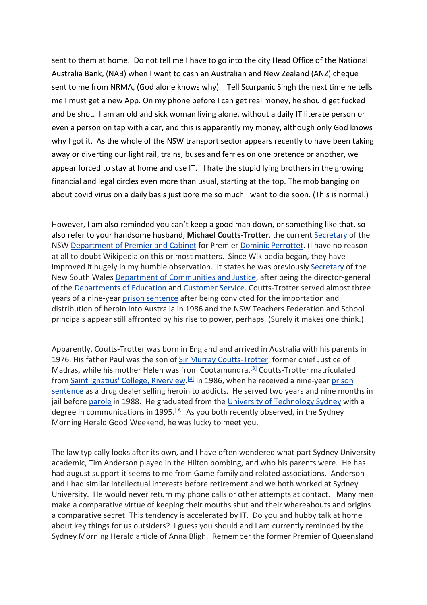sent to them at home. Do not tell me I have to go into the city Head Office of the National Australia Bank, (NAB) when I want to cash an Australian and New Zealand (ANZ) cheque sent to me from NRMA, (God alone knows why). Tell Scurpanic Singh the next time he tells me I must get a new App. On my phone before I can get real money, he should get fucked and be shot. I am an old and sick woman living alone, without a daily IT literate person or even a person on tap with a car, and this is apparently my money, although only God knows why I got it. As the whole of the NSW transport sector appears recently to have been taking away or diverting our light rail, trains, buses and ferries on one pretence or another, we appear forced to stay at home and use IT. I hate the stupid lying brothers in the growing financial and legal circles even more than usual, starting at the top. The mob banging on about covid virus on a daily basis just bore me so much I want to die soon. (This is normal.)

However, I am also reminded you can't keep a good man down, or something like that, so also refer to your handsome husband, **Michael Coutts-Trotter**, the current Secretary of the NSW Department of Premier and Cabinet for Premier Dominic Perrottet. (I have no reason at all to doubt Wikipedia on this or most matters. Since Wikipedia began, they have improved it hugely in my humble observation. It states he was previously Secretary of the New South Wales Department of Communities and Justice, after being the director-general of the Departments of Education and Customer Service. Coutts-Trotter served almost three years of a nine-year prison sentence after being convicted for the importation and distribution of heroin into Australia in 1986 and the NSW Teachers Federation and School principals appear still affronted by his rise to power, perhaps. (Surely it makes one think.)

Apparently, Coutts-Trotter was born in England and arrived in Australia with his parents in 1976. His father Paul was the son of Sir Murray Coutts-Trotter, former chief Justice of Madras, while his mother Helen was from Cootamundra.<sup>[3]</sup> Coutts-Trotter matriculated from Saint Ignatius' College, Riverview.<sup>[4]</sup> In 1986, when he received a nine-year prison sentence as a drug dealer selling heroin to addicts. He served two years and nine months in jail before parole in 1988. He graduated from the University of Technology Sydney with a degree in communications in 1995.<sup>[A]</sup> As you both recently observed, in the Sydney Morning Herald Good Weekend, he was lucky to meet you.

The law typically looks after its own, and I have often wondered what part Sydney University academic, Tim Anderson played in the Hilton bombing, and who his parents were. He has had august support it seems to me from Game family and related associations. Anderson and I had similar intellectual interests before retirement and we both worked at Sydney University. He would never return my phone calls or other attempts at contact. Many men make a comparative virtue of keeping their mouths shut and their whereabouts and origins a comparative secret. This tendency is accelerated by IT. Do you and hubby talk at home about key things for us outsiders? I guess you should and I am currently reminded by the Sydney Morning Herald article of Anna Bligh. Remember the former Premier of Queensland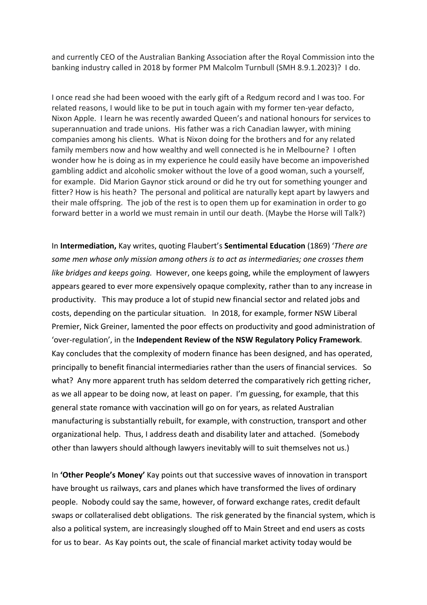and currently CEO of the Australian Banking Association after the Royal Commission into the banking industry called in 2018 by former PM Malcolm Turnbull (SMH 8.9.1.2023)? I do.

I once read she had been wooed with the early gift of a Redgum record and I was too. For related reasons, I would like to be put in touch again with my former ten-year defacto, Nixon Apple. I learn he was recently awarded Queen's and national honours for services to superannuation and trade unions. His father was a rich Canadian lawyer, with mining companies among his clients. What is Nixon doing for the brothers and for any related family members now and how wealthy and well connected is he in Melbourne? I often wonder how he is doing as in my experience he could easily have become an impoverished gambling addict and alcoholic smoker without the love of a good woman, such a yourself, for example. Did Marion Gaynor stick around or did he try out for something younger and fitter? How is his heath? The personal and political are naturally kept apart by lawyers and their male offspring. The job of the rest is to open them up for examination in order to go forward better in a world we must remain in until our death. (Maybe the Horse will Talk?)

In **Intermediation,** Kay writes, quoting Flaubert's **Sentimental Education** (1869) '*There are some men whose only mission among others is to act as intermediaries; one crosses them like bridges and keeps going.* However, one keeps going, while the employment of lawyers appears geared to ever more expensively opaque complexity, rather than to any increase in productivity. This may produce a lot of stupid new financial sector and related jobs and costs, depending on the particular situation. In 2018, for example, former NSW Liberal Premier, Nick Greiner, lamented the poor effects on productivity and good administration of 'over-regulation', in the **Independent Review of the NSW Regulatory Policy Framework**. Kay concludes that the complexity of modern finance has been designed, and has operated, principally to benefit financial intermediaries rather than the users of financial services. So what? Any more apparent truth has seldom deterred the comparatively rich getting richer, as we all appear to be doing now, at least on paper. I'm guessing, for example, that this general state romance with vaccination will go on for years, as related Australian manufacturing is substantially rebuilt, for example, with construction, transport and other organizational help. Thus, I address death and disability later and attached. (Somebody other than lawyers should although lawyers inevitably will to suit themselves not us.)

In **'Other People's Money'** Kay points out that successive waves of innovation in transport have brought us railways, cars and planes which have transformed the lives of ordinary people. Nobody could say the same, however, of forward exchange rates, credit default swaps or collateralised debt obligations. The risk generated by the financial system, which is also a political system, are increasingly sloughed off to Main Street and end users as costs for us to bear. As Kay points out, the scale of financial market activity today would be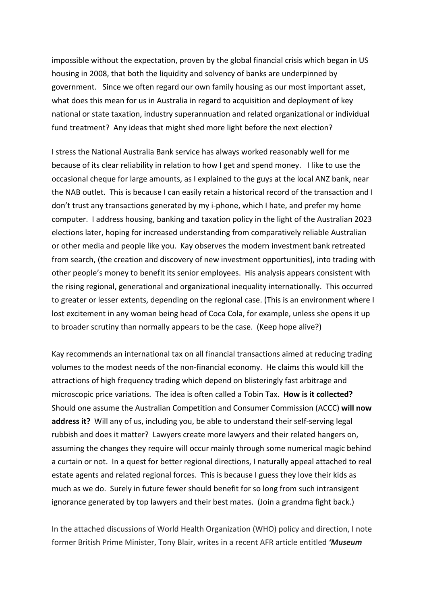impossible without the expectation, proven by the global financial crisis which began in US housing in 2008, that both the liquidity and solvency of banks are underpinned by government. Since we often regard our own family housing as our most important asset, what does this mean for us in Australia in regard to acquisition and deployment of key national or state taxation, industry superannuation and related organizational or individual fund treatment? Any ideas that might shed more light before the next election?

I stress the National Australia Bank service has always worked reasonably well for me because of its clear reliability in relation to how I get and spend money. I like to use the occasional cheque for large amounts, as I explained to the guys at the local ANZ bank, near the NAB outlet. This is because I can easily retain a historical record of the transaction and I don't trust any transactions generated by my i-phone, which I hate, and prefer my home computer. I address housing, banking and taxation policy in the light of the Australian 2023 elections later, hoping for increased understanding from comparatively reliable Australian or other media and people like you. Kay observes the modern investment bank retreated from search, (the creation and discovery of new investment opportunities), into trading with other people's money to benefit its senior employees. His analysis appears consistent with the rising regional, generational and organizational inequality internationally. This occurred to greater or lesser extents, depending on the regional case. (This is an environment where I lost excitement in any woman being head of Coca Cola, for example, unless she opens it up to broader scrutiny than normally appears to be the case. (Keep hope alive?)

Kay recommends an international tax on all financial transactions aimed at reducing trading volumes to the modest needs of the non-financial economy. He claims this would kill the attractions of high frequency trading which depend on blisteringly fast arbitrage and microscopic price variations. The idea is often called a Tobin Tax. **How is it collected?** Should one assume the Australian Competition and Consumer Commission (ACCC) **will now address it?** Will any of us, including you, be able to understand their self-serving legal rubbish and does it matter? Lawyers create more lawyers and their related hangers on, assuming the changes they require will occur mainly through some numerical magic behind a curtain or not. In a quest for better regional directions, I naturally appeal attached to real estate agents and related regional forces. This is because I guess they love their kids as much as we do. Surely in future fewer should benefit for so long from such intransigent ignorance generated by top lawyers and their best mates. (Join a grandma fight back.)

In the attached discussions of World Health Organization (WHO) policy and direction, I note former British Prime Minister, Tony Blair, writes in a recent AFR article entitled *'Museum*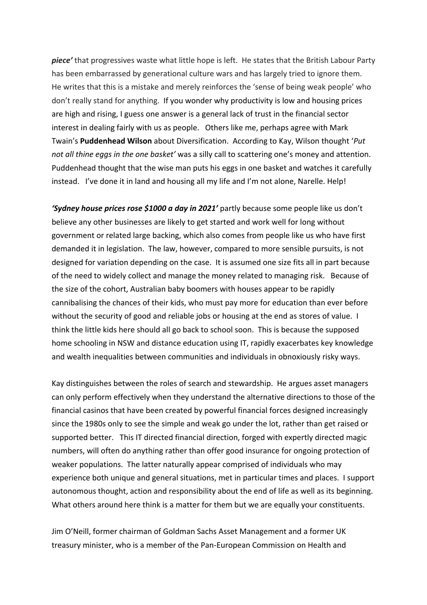*piece'* that progressives waste what little hope is left. He states that the British Labour Party has been embarrassed by generational culture wars and has largely tried to ignore them. He writes that this is a mistake and merely reinforces the 'sense of being weak people' who don't really stand for anything. If you wonder why productivity is low and housing prices are high and rising, I guess one answer is a general lack of trust in the financial sector interest in dealing fairly with us as people. Others like me, perhaps agree with Mark Twain's **Puddenhead Wilson** about Diversification. According to Kay, Wilson thought '*Put not all thine eggs in the one basket'* was a silly call to scattering one's money and attention. Puddenhead thought that the wise man puts his eggs in one basket and watches it carefully instead. I've done it in land and housing all my life and I'm not alone, Narelle. Help!

*'Sydney house prices rose \$1000 a day in 2021'* partly because some people like us don't believe any other businesses are likely to get started and work well for long without government or related large backing, which also comes from people like us who have first demanded it in legislation. The law, however, compared to more sensible pursuits, is not designed for variation depending on the case. It is assumed one size fits all in part because of the need to widely collect and manage the money related to managing risk. Because of the size of the cohort, Australian baby boomers with houses appear to be rapidly cannibalising the chances of their kids, who must pay more for education than ever before without the security of good and reliable jobs or housing at the end as stores of value. I think the little kids here should all go back to school soon. This is because the supposed home schooling in NSW and distance education using IT, rapidly exacerbates key knowledge and wealth inequalities between communities and individuals in obnoxiously risky ways.

Kay distinguishes between the roles of search and stewardship. He argues asset managers can only perform effectively when they understand the alternative directions to those of the financial casinos that have been created by powerful financial forces designed increasingly since the 1980s only to see the simple and weak go under the lot, rather than get raised or supported better. This IT directed financial direction, forged with expertly directed magic numbers, will often do anything rather than offer good insurance for ongoing protection of weaker populations. The latter naturally appear comprised of individuals who may experience both unique and general situations, met in particular times and places. I support autonomous thought, action and responsibility about the end of life as well as its beginning. What others around here think is a matter for them but we are equally your constituents.

Jim O'Neill, former chairman of Goldman Sachs Asset Management and a former UK treasury minister, who is a member of the Pan-European Commission on Health and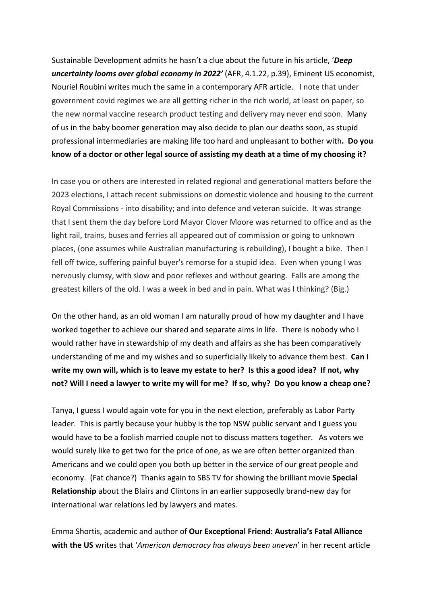Sustainable Development admits he hasn't a clue about the future in his article, '*Deep uncertainty looms over global economy in 2022'* (AFR, 4.1.22, p.39), Eminent US economist, Nouriel Roubini writes much the same in a contemporary AFR article. I note that under government covid regimes we are all getting richer in the rich world, at least on paper, so the new normal vaccine research product testing and delivery may never end soon. Many of us in the baby boomer generation may also decide to plan our deaths soon, as stupid professional intermediaries are making life too hard and unpleasant to bother with**. Do you know of a doctor or other legal source of assisting my death at a time of my choosing it?**

In case you or others are interested in related regional and generational matters before the 2023 elections, I attach recent submissions on domestic violence and housing to the current Royal Commissions - into disability; and into defence and veteran suicide. It was strange that I sent them the day before Lord Mayor Clover Moore was returned to office and as the light rail, trains, buses and ferries all appeared out of commission or going to unknown places, (one assumes while Australian manufacturing is rebuilding), I bought a bike. Then I fell off twice, suffering painful buyer's remorse for a stupid idea. Even when young I was nervously clumsy, with slow and poor reflexes and without gearing. Falls are among the greatest killers of the old. I was a week in bed and in pain. What was I thinking? (Big.)

On the other hand, as an old woman I am naturally proud of how my daughter and I have worked together to achieve our shared and separate aims in life. There is nobody who I would rather have in stewardship of my death and affairs as she has been comparatively understanding of me and my wishes and so superficially likely to advance them best. **Can I write my own will, which is to leave my estate to her? Is this a good idea? If not, why not? Will I need a lawyer to write my will for me? If so, why? Do you know a cheap one?**

Tanya, I guess I would again vote for you in the next election, preferably as Labor Party leader. This is partly because your hubby is the top NSW public servant and I guess you would have to be a foolish married couple not to discuss matters together. As voters we would surely like to get two for the price of one, as we are often better organized than Americans and we could open you both up better in the service of our great people and economy. (Fat chance?) Thanks again to SBS TV for showing the brilliant movie **Special Relationship** about the Blairs and Clintons in an earlier supposedly brand-new day for international war relations led by lawyers and mates.

Emma Shortis, academic and author of **Our Exceptional Friend: Australia's Fatal Alliance with the US** writes that '*American democracy has always been uneven*' in her recent article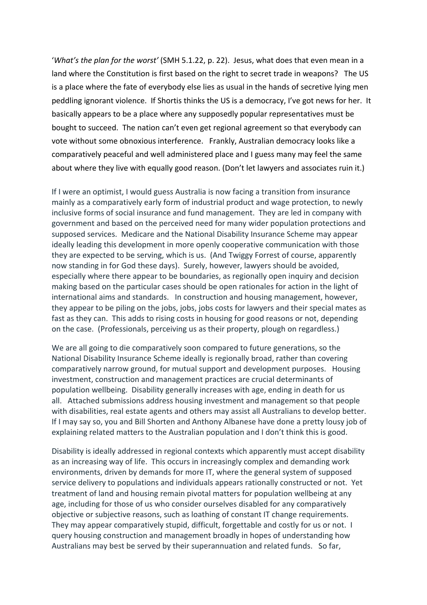'*What's the plan for the worst'* (SMH 5.1.22, p. 22). Jesus, what does that even mean in a land where the Constitution is first based on the right to secret trade in weapons? The US is a place where the fate of everybody else lies as usual in the hands of secretive lying men peddling ignorant violence. If Shortis thinks the US is a democracy, I've got news for her. It basically appears to be a place where any supposedly popular representatives must be bought to succeed. The nation can't even get regional agreement so that everybody can vote without some obnoxious interference. Frankly, Australian democracy looks like a comparatively peaceful and well administered place and I guess many may feel the same about where they live with equally good reason. (Don't let lawyers and associates ruin it.)

If I were an optimist, I would guess Australia is now facing a transition from insurance mainly as a comparatively early form of industrial product and wage protection, to newly inclusive forms of social insurance and fund management. They are led in company with government and based on the perceived need for many wider population protections and supposed services. Medicare and the National Disability Insurance Scheme may appear ideally leading this development in more openly cooperative communication with those they are expected to be serving, which is us. (And Twiggy Forrest of course, apparently now standing in for God these days). Surely, however, lawyers should be avoided, especially where there appear to be boundaries, as regionally open inquiry and decision making based on the particular cases should be open rationales for action in the light of international aims and standards. In construction and housing management, however, they appear to be piling on the jobs, jobs, jobs costs for lawyers and their special mates as fast as they can. This adds to rising costs in housing for good reasons or not, depending on the case. (Professionals, perceiving us as their property, plough on regardless.)

We are all going to die comparatively soon compared to future generations, so the National Disability Insurance Scheme ideally is regionally broad, rather than covering comparatively narrow ground, for mutual support and development purposes. Housing investment, construction and management practices are crucial determinants of population wellbeing. Disability generally increases with age, ending in death for us all. Attached submissions address housing investment and management so that people with disabilities, real estate agents and others may assist all Australians to develop better. If I may say so, you and Bill Shorten and Anthony Albanese have done a pretty lousy job of explaining related matters to the Australian population and I don't think this is good.

Disability is ideally addressed in regional contexts which apparently must accept disability as an increasing way of life. This occurs in increasingly complex and demanding work environments, driven by demands for more IT, where the general system of supposed service delivery to populations and individuals appears rationally constructed or not. Yet treatment of land and housing remain pivotal matters for population wellbeing at any age, including for those of us who consider ourselves disabled for any comparatively objective or subjective reasons, such as loathing of constant IT change requirements. They may appear comparatively stupid, difficult, forgettable and costly for us or not. I query housing construction and management broadly in hopes of understanding how Australians may best be served by their superannuation and related funds. So far,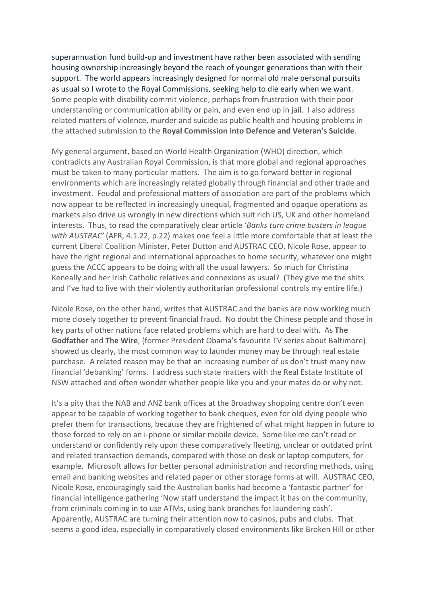superannuation fund build-up and investment have rather been associated with sending housing ownership increasingly beyond the reach of younger generations than with their support. The world appears increasingly designed for normal old male personal pursuits as usual so I wrote to the Royal Commissions, seeking help to die early when we want. Some people with disability commit violence, perhaps from frustration with their poor understanding or communication ability or pain, and even end up in jail. I also address related matters of violence, murder and suicide as public health and housing problems in the attached submission to the **Royal Commission into Defence and Veteran's Suicide**.

My general argument, based on World Health Organization (WHO) direction, which contradicts any Australian Royal Commission, is that more global and regional approaches must be taken to many particular matters. The aim is to go forward better in regional environments which are increasingly related globally through financial and other trade and investment. Feudal and professional matters of association are part of the problems which now appear to be reflected in increasingly unequal, fragmented and opaque operations as markets also drive us wrongly in new directions which suit rich US, UK and other homeland interests. Thus, to read the comparatively clear article '*Banks turn crime busters in league with AUSTRAC'* (AFR, 4.1.22, p.22) makes one feel a little more comfortable that at least the current Liberal Coalition Minister, Peter Dutton and AUSTRAC CEO, Nicole Rose, appear to have the right regional and international approaches to home security, whatever one might guess the ACCC appears to be doing with all the usual lawyers. So much for Christina Keneally and her Irish Catholic relatives and connexions as usual? (They give me the shits and I've had to live with their violently authoritarian professional controls my entire life.)

Nicole Rose, on the other hand, writes that AUSTRAC and the banks are now working much more closely together to prevent financial fraud. No doubt the Chinese people and those in key parts of other nations face related problems which are hard to deal with. As **The Godfather** and **The Wire**, (former President Obama's favourite TV series about Baltimore) showed us clearly, the most common way to launder money may be through real estate purchase. A related reason may be that an increasing number of us don't trust many new financial 'debanking' forms. I address such state matters with the Real Estate Institute of NSW attached and often wonder whether people like you and your mates do or why not.

It's a pity that the NAB and ANZ bank offices at the Broadway shopping centre don't even appear to be capable of working together to bank cheques, even for old dying people who prefer them for transactions, because they are frightened of what might happen in future to those forced to rely on an i-phone or similar mobile device. Some like me can't read or understand or confidently rely upon these comparatively fleeting, unclear or outdated print and related transaction demands, compared with those on desk or laptop computers, for example. Microsoft allows for better personal administration and recording methods, using email and banking websites and related paper or other storage forms at will. AUSTRAC CEO, Nicole Rose, encouragingly said the Australian banks had become a 'fantastic partner' for financial intelligence gathering 'Now staff understand the impact it has on the community, from criminals coming in to use ATMs, using bank branches for laundering cash'. Apparently, AUSTRAC are turning their attention now to casinos, pubs and clubs. That seems a good idea, especially in comparatively closed environments like Broken Hill or other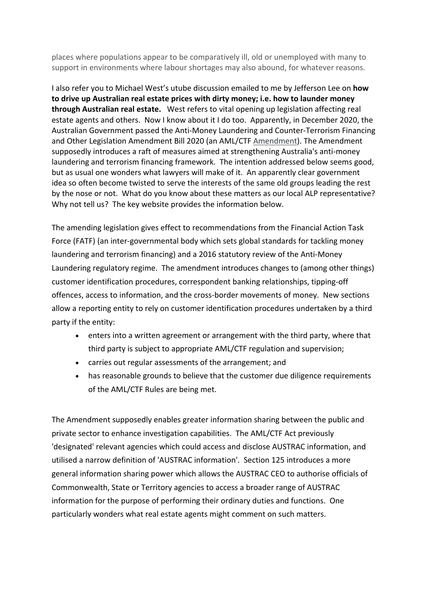places where populations appear to be comparatively ill, old or unemployed with many to support in environments where labour shortages may also abound, for whatever reasons.

I also refer you to Michael West's utube discussion emailed to me by Jefferson Lee on **how to drive up Australian real estate prices with dirty money; i.e. how to launder money through Australian real estate.** West refers to vital opening up legislation affecting real estate agents and others. Now I know about it I do too. Apparently, in December 2020, the Australian Government passed the Anti-Money Laundering and Counter-Terrorism Financing and Other Legislation Amendment Bill 2020 (an AML/CTF Amendment). The Amendment supposedly introduces a raft of measures aimed at strengthening Australia's anti-money laundering and terrorism financing framework. The intention addressed below seems good, but as usual one wonders what lawyers will make of it. An apparently clear government idea so often become twisted to serve the interests of the same old groups leading the rest by the nose or not. What do you know about these matters as our local ALP representative? Why not tell us? The key website provides the information below.

The amending legislation gives effect to recommendations from the Financial Action Task Force (FATF) (an inter-governmental body which sets global standards for tackling money laundering and terrorism financing) and a 2016 statutory review of the Anti-Money Laundering regulatory regime. The amendment introduces changes to (among other things) customer identification procedures, correspondent banking relationships, tipping-off offences, access to information, and the cross-border movements of money. New sections allow a reporting entity to rely on customer identification procedures undertaken by a third party if the entity:

- enters into a written agreement or arrangement with the third party, where that third party is subject to appropriate AML/CTF regulation and supervision;
- carries out regular assessments of the arrangement; and
- has reasonable grounds to believe that the customer due diligence requirements of the AML/CTF Rules are being met.

The Amendment supposedly enables greater information sharing between the public and private sector to enhance investigation capabilities. The AML/CTF Act previously 'designated' relevant agencies which could access and disclose AUSTRAC information, and utilised a narrow definition of 'AUSTRAC information'. Section 125 introduces a more general information sharing power which allows the AUSTRAC CEO to authorise officials of Commonwealth, State or Territory agencies to access a broader range of AUSTRAC information for the purpose of performing their ordinary duties and functions. One particularly wonders what real estate agents might comment on such matters.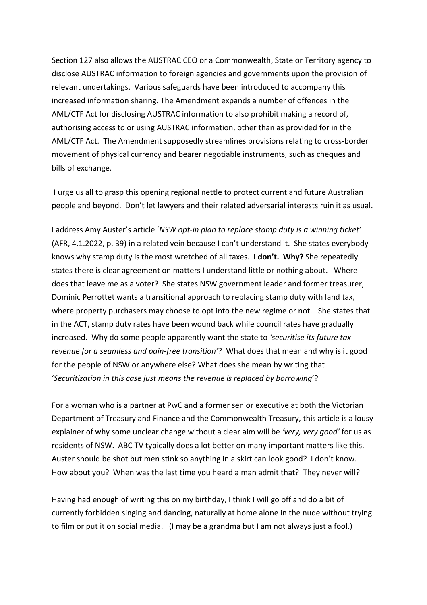Section 127 also allows the AUSTRAC CEO or a Commonwealth, State or Territory agency to disclose AUSTRAC information to foreign agencies and governments upon the provision of relevant undertakings. Various safeguards have been introduced to accompany this increased information sharing. The Amendment expands a number of offences in the AML/CTF Act for disclosing AUSTRAC information to also prohibit making a record of, authorising access to or using AUSTRAC information, other than as provided for in the AML/CTF Act. The Amendment supposedly streamlines provisions relating to cross-border movement of physical currency and bearer negotiable instruments, such as cheques and bills of exchange.

I urge us all to grasp this opening regional nettle to protect current and future Australian people and beyond. Don't let lawyers and their related adversarial interests ruin it as usual.

I address Amy Auster's article '*NSW opt-in plan to replace stamp duty is a winning ticket'* (AFR, 4.1.2022, p. 39) in a related vein because I can't understand it. She states everybody knows why stamp duty is the most wretched of all taxes. **I don't. Why?** She repeatedly states there is clear agreement on matters I understand little or nothing about. Where does that leave me as a voter? She states NSW government leader and former treasurer, Dominic Perrottet wants a transitional approach to replacing stamp duty with land tax, where property purchasers may choose to opt into the new regime or not. She states that in the ACT, stamp duty rates have been wound back while council rates have gradually increased. Why do some people apparently want the state to *'securitise its future tax revenue for a seamless and pain-free transition'*? What does that mean and why is it good for the people of NSW or anywhere else? What does she mean by writing that '*Securitization in this case just means the revenue is replaced by borrowing*'?

For a woman who is a partner at PwC and a former senior executive at both the Victorian Department of Treasury and Finance and the Commonwealth Treasury, this article is a lousy explainer of why some unclear change without a clear aim will be *'very, very good'* for us as residents of NSW. ABC TV typically does a lot better on many important matters like this. Auster should be shot but men stink so anything in a skirt can look good? I don't know. How about you? When was the last time you heard a man admit that? They never will?

Having had enough of writing this on my birthday, I think I will go off and do a bit of currently forbidden singing and dancing, naturally at home alone in the nude without trying to film or put it on social media. (I may be a grandma but I am not always just a fool.)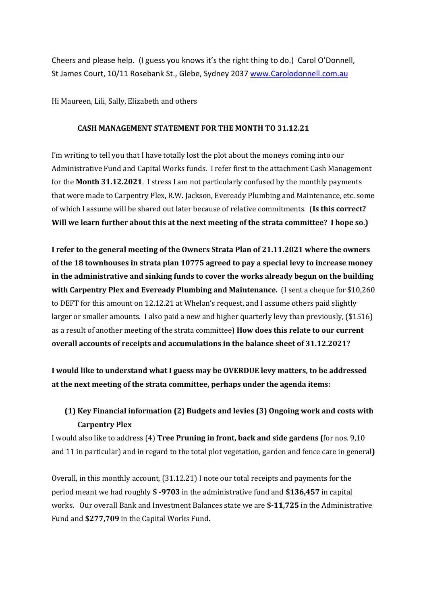Cheers and please help. (I guess you knows it's the right thing to do.) Carol O'Donnell, St James Court, 10/11 Rosebank St., Glebe, Sydney 2037 www.Carolodonnell.com.au

Hi Maureen, Lili, Sally, Elizabeth and others

### **CASH MANAGEMENT STATEMENT FOR THE MONTH TO 31.12.21**

I'm writing to tell you that I have totally lost the plot about the moneys coming into our Administrative Fund and Capital Works funds. I refer first to the attachment Cash Management for the **Month 31.12.2021**. I stress I am not particularly confused by the monthly payments that were made to Carpentry Plex, R.W. Jackson, Eveready Plumbing and Maintenance, etc. some of which I assume will be shared out later because of relative commitments. (Is this correct? **Will we learn further about this at the next meeting of the strata committee? I hope so.)** 

I refer to the general meeting of the Owners Strata Plan of 21.11.2021 where the owners of the 18 townhouses in strata plan 10775 agreed to pay a special levy to increase money in the administrative and sinking funds to cover the works already begun on the building **with Carpentry Plex and Eveready Plumbing and Maintenance.** (I sent a cheque for \$10,260 to DEFT for this amount on 12.12.21 at Whelan's request, and I assume others paid slightly larger or smaller amounts. I also paid a new and higher quarterly levy than previously, (\$1516) as a result of another meeting of the strata committee) **How does this relate to our current overall accounts of receipts and accumulations in the balance sheet of 31.12.2021?** 

I would like to understand what I guess may be OVERDUE levy matters, to be addressed at the next meeting of the strata committee, perhaps under the agenda items:

### **(1) Key Financial information (2) Budgets and levies (3) Ongoing work and costs with Carpentry Plex**

I would also like to address (4) Tree Pruning in front, back and side gardens (for nos. 9,10 and 11 in particular) and in regard to the total plot vegetation, garden and fence care in general)

Overall, in this monthly account,  $(31.12.21)$  I note our total receipts and payments for the period meant we had roughly **\$ -9703** in the administrative fund and **\$136,457** in capital works. Our overall Bank and Investment Balances state we are \$-11,725 in the Administrative Fund and \$277,709 in the Capital Works Fund.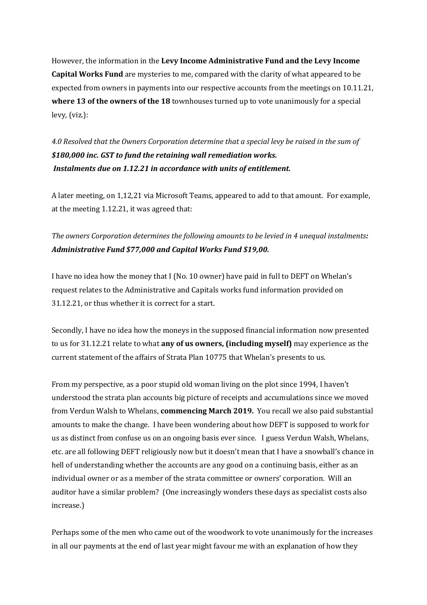However, the information in the Levy Income Administrative Fund and the Levy Income **Capital Works Fund** are mysteries to me, compared with the clarity of what appeared to be expected from owners in payments into our respective accounts from the meetings on 10.11.21, where 13 of the owners of the 18 townhouses turned up to vote unanimously for a special levy, (viz.):

4.0 Resolved that the Owners Corporation determine that a special levy be raised in the sum of \$180,000 inc. GST to fund the retaining wall remediation works. Instalments due on 1.12.21 in accordance with units of entitlement.

A later meeting, on 1,12,21 via Microsoft Teams, appeared to add to that amount. For example, at the meeting  $1.12.21$ , it was agreed that:

*The* owners Corporation determines the following amounts to be levied in 4 unequal instalments: *Administrative Fund \$77,000 and Capital Works Fund \$19,00.*

I have no idea how the money that I (No. 10 owner) have paid in full to DEFT on Whelan's request relates to the Administrative and Capitals works fund information provided on 31.12.21, or thus whether it is correct for a start.

Secondly, I have no idea how the moneys in the supposed financial information now presented to us for 31.12.21 relate to what **any of us owners, (including myself)** may experience as the current statement of the affairs of Strata Plan 10775 that Whelan's presents to us.

From my perspective, as a poor stupid old woman living on the plot since 1994, I haven't understood the strata plan accounts big picture of receipts and accumulations since we moved from Verdun Walsh to Whelans, **commencing March 2019.** You recall we also paid substantial amounts to make the change. I have been wondering about how DEFT is supposed to work for us as distinct from confuse us on an ongoing basis ever since. I guess Verdun Walsh, Whelans, etc. are all following DEFT religiously now but it doesn't mean that I have a snowball's chance in hell of understanding whether the accounts are any good on a continuing basis, either as an individual owner or as a member of the strata committee or owners' corporation. Will an auditor have a similar problem? (One increasingly wonders these days as specialist costs also increase.)

Perhaps some of the men who came out of the woodwork to vote unanimously for the increases in all our payments at the end of last year might favour me with an explanation of how they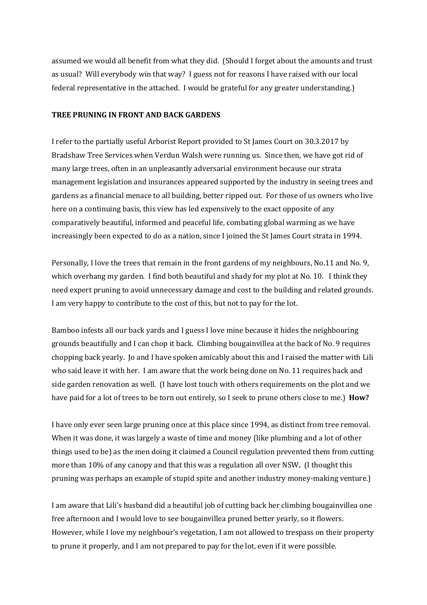assumed we would all benefit from what they did. (Should I forget about the amounts and trust as usual? Will everybody win that way? I guess not for reasons I have raised with our local federal representative in the attached. I would be grateful for any greater understanding.)

#### **TREE PRUNING IN FRONT AND BACK GARDENS**

I refer to the partially useful Arborist Report provided to St James Court on 30.3.2017 by Bradshaw Tree Services when Verdun Walsh were running us. Since then, we have got rid of many large trees, often in an unpleasantly adversarial environment because our strata management legislation and insurances appeared supported by the industry in seeing trees and gardens as a financial menace to all building, better ripped out. For those of us owners who live here on a continuing basis, this view has led expensively to the exact opposite of any comparatively beautiful, informed and peaceful life, combating global warming as we have increasingly been expected to do as a nation, since I joined the St James Court strata in 1994.

Personally, I love the trees that remain in the front gardens of my neighbours, No.11 and No. 9, which overhang my garden. I find both beautiful and shady for my plot at No. 10. I think they need expert pruning to avoid unnecessary damage and cost to the building and related grounds. I am very happy to contribute to the cost of this, but not to pay for the lot.

Bamboo infests all our back yards and I guess I love mine because it hides the neighbouring grounds beautifully and I can chop it back. Climbing bougainvillea at the back of No. 9 requires chopping back yearly. Jo and I have spoken amicably about this and I raised the matter with Lili who said leave it with her. I am aware that the work being done on No. 11 requires back and side garden renovation as well. (I have lost touch with others requirements on the plot and we have paid for a lot of trees to be torn out entirely, so I seek to prune others close to me.) How?

I have only ever seen large pruning once at this place since 1994, as distinct from tree removal. When it was done, it was largely a waste of time and money (like plumbing and a lot of other things used to be) as the men doing it claimed a Council regulation prevented them from cutting more than 10% of any canopy and that this was a regulation all over NSW. (I thought this pruning was perhaps an example of stupid spite and another industry money-making venture.)

I am aware that Lili's husband did a beautiful job of cutting back her climbing bougainvillea one free afternoon and I would love to see bougainvillea pruned better yearly, so it flowers. However, while I love my neighbour's vegetation, I am not allowed to trespass on their property to prune it properly, and I am not prepared to pay for the lot, even if it were possible.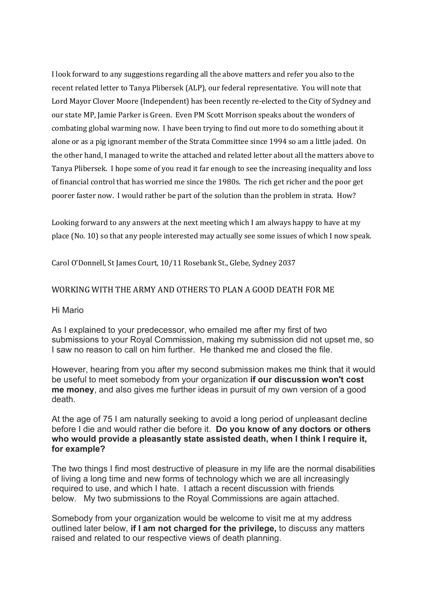I look forward to any suggestions regarding all the above matters and refer you also to the recent related letter to Tanya Plibersek (ALP), our federal representative. You will note that Lord Mayor Clover Moore (Independent) has been recently re-elected to the City of Sydney and our state MP, Jamie Parker is Green. Even PM Scott Morrison speaks about the wonders of combating global warming now. I have been trying to find out more to do something about it alone or as a pig ignorant member of the Strata Committee since 1994 so am a little jaded. On the other hand, I managed to write the attached and related letter about all the matters above to Tanya Plibersek. I hope some of you read it far enough to see the increasing inequality and loss of financial control that has worried me since the 1980s. The rich get richer and the poor get poorer faster now. I would rather be part of the solution than the problem in strata. How?

Looking forward to any answers at the next meeting which I am always happy to have at my place (No. 10) so that any people interested may actually see some issues of which I now speak.

Carol O'Donnell, St James Court, 10/11 Rosebank St., Glebe, Sydney 2037

### WORKING WITH THE ARMY AND OTHERS TO PLAN A GOOD DEATH FOR ME

#### Hi Mario

As I explained to your predecessor, who emailed me after my first of two submissions to your Royal Commission, making my submission did not upset me, so I saw no reason to call on him further. He thanked me and closed the file.

However, hearing from you after my second submission makes me think that it would be useful to meet somebody from your organization **if our discussion won't cost me money**, and also gives me further ideas in pursuit of my own version of a good death.

At the age of 75 I am naturally seeking to avoid a long period of unpleasant decline before I die and would rather die before it. **Do you know of any doctors or others who would provide a pleasantly state assisted death, when I think I require it, for example?**

The two things I find most destructive of pleasure in my life are the normal disabilities of living a long time and new forms of technology which we are all increasingly required to use, and which I hate. I attach a recent discussion with friends below. My two submissions to the Royal Commissions are again attached.

Somebody from your organization would be welcome to visit me at my address outlined later below, **if I am not charged for the privilege,** to discuss any matters raised and related to our respective views of death planning.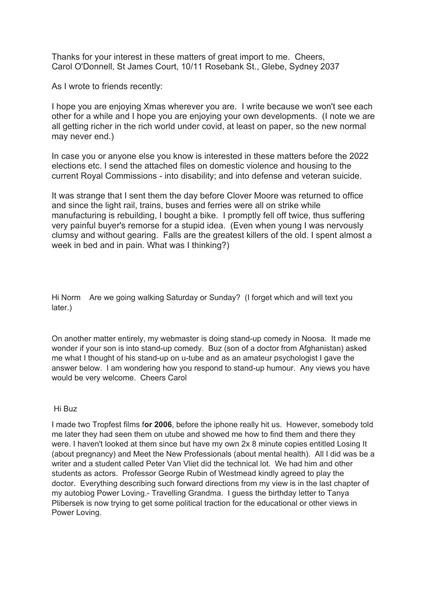Thanks for your interest in these matters of great import to me. Cheers, Carol O'Donnell, St James Court, 10/11 Rosebank St., Glebe, Sydney 2037

As I wrote to friends recently:

I hope you are enjoying Xmas wherever you are. I write because we won't see each other for a while and I hope you are enjoying your own developments. (I note we are all getting richer in the rich world under covid, at least on paper, so the new normal may never end.)

In case you or anyone else you know is interested in these matters before the 2022 elections etc. I send the attached files on domestic violence and housing to the current Royal Commissions - into disability; and into defense and veteran suicide.

It was strange that I sent them the day before Clover Moore was returned to office and since the light rail, trains, buses and ferries were all on strike while manufacturing is rebuilding, I bought a bike. I promptly fell off twice, thus suffering very painful buyer's remorse for a stupid idea. (Even when young I was nervously clumsy and without gearing. Falls are the greatest killers of the old. I spent almost a week in bed and in pain. What was I thinking?)

Hi Norm Are we going walking Saturday or Sunday? (I forget which and will text you later.)

On another matter entirely, my webmaster is doing stand-up comedy in Noosa. It made me wonder if your son is into stand-up comedy. Buz (son of a doctor from Afghanistan) asked me what I thought of his stand-up on u-tube and as an amateur psychologist I gave the answer below. I am wondering how you respond to stand-up humour. Any views you have would be very welcome. Cheers Carol

Hi Buz

I made two Tropfest films f**or 2006**, before the iphone really hit us. However, somebody told me later they had seen them on utube and showed me how to find them and there they were. I haven't looked at them since but have my own 2x 8 minute copies entitled Losing It (about pregnancy) and Meet the New Professionals (about mental health). All I did was be a writer and a student called Peter Van Vliet did the technical lot. We had him and other students as actors. Professor George Rubin of Westmead kindly agreed to play the doctor. Everything describing such forward directions from my view is in the last chapter of my autobiog Power Loving.- Travelling Grandma. I guess the birthday letter to Tanya Plibersek is now trying to get some political traction for the educational or other views in Power Loving.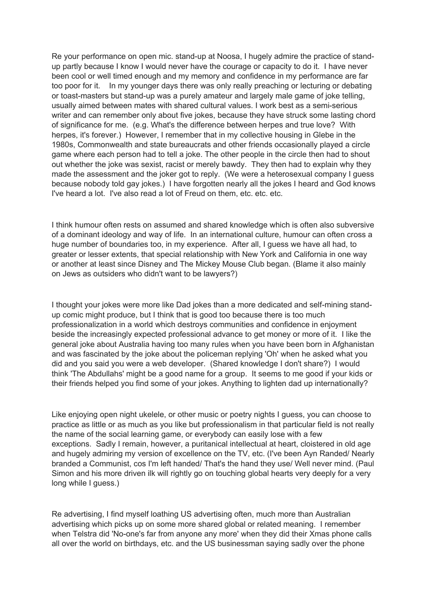Re your performance on open mic. stand-up at Noosa, I hugely admire the practice of standup partly because I know I would never have the courage or capacity to do it. I have never been cool or well timed enough and my memory and confidence in my performance are far too poor for it. In my younger days there was only really preaching or lecturing or debating or toast-masters but stand-up was a purely amateur and largely male game of joke telling, usually aimed between mates with shared cultural values. I work best as a semi-serious writer and can remember only about five jokes, because they have struck some lasting chord of significance for me. (e.g. What's the difference between herpes and true love? With herpes, it's forever.) However, I remember that in my collective housing in Glebe in the 1980s, Commonwealth and state bureaucrats and other friends occasionally played a circle game where each person had to tell a joke. The other people in the circle then had to shout out whether the joke was sexist, racist or merely bawdy. They then had to explain why they made the assessment and the joker got to reply. (We were a heterosexual company I guess because nobody told gay jokes.) I have forgotten nearly all the jokes I heard and God knows I've heard a lot. I've also read a lot of Freud on them, etc. etc. etc.

I think humour often rests on assumed and shared knowledge which is often also subversive of a dominant ideology and way of life. In an international culture, humour can often cross a huge number of boundaries too, in my experience. After all, I guess we have all had, to greater or lesser extents, that special relationship with New York and California in one way or another at least since Disney and The Mickey Mouse Club began. (Blame it also mainly on Jews as outsiders who didn't want to be lawyers?)

I thought your jokes were more like Dad jokes than a more dedicated and self-mining standup comic might produce, but I think that is good too because there is too much professionalization in a world which destroys communities and confidence in enjoyment beside the increasingly expected professional advance to get money or more of it. I like the general joke about Australia having too many rules when you have been born in Afghanistan and was fascinated by the joke about the policeman replying 'Oh' when he asked what you did and you said you were a web developer. (Shared knowledge I don't share?) I would think 'The Abdullahs' might be a good name for a group. It seems to me good if your kids or their friends helped you find some of your jokes. Anything to lighten dad up internationally?

Like enjoying open night ukelele, or other music or poetry nights I guess, you can choose to practice as little or as much as you like but professionalism in that particular field is not really the name of the social learning game, or everybody can easily lose with a few exceptions. Sadly I remain, however, a puritanical intellectual at heart, cloistered in old age and hugely admiring my version of excellence on the TV, etc. (I've been Ayn Randed/ Nearly branded a Communist, cos I'm left handed/ That's the hand they use/ Well never mind. (Paul Simon and his more driven ilk will rightly go on touching global hearts very deeply for a very long while I guess.)

Re advertising, I find myself loathing US advertising often, much more than Australian advertising which picks up on some more shared global or related meaning. I remember when Telstra did 'No-one's far from anyone any more' when they did their Xmas phone calls all over the world on birthdays, etc. and the US businessman saying sadly over the phone